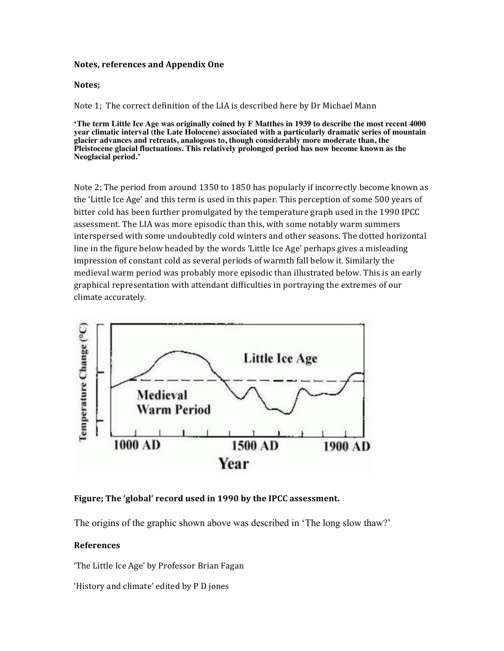### **Notes, references and Appendix One**

#### Notes;

Note 1; The correct definition of the LIA is described here by Dr Michael Mann

**'The term Little Ice Age was originally coined by F Matthes in 1939 to describe the most recent 4000 year climatic interval (the Late Holocene) associated with a particularly dramatic series of mountain glacier advances and retreats, analogous to, though considerably more moderate than, the Pleistocene glacial fluctuations. This relatively prolonged period has now become known as the Neoglacial period.'**

Note 2; The period from around 1350 to 1850 has popularly if incorrectly become known as the 'Little Ice Age' and this term is used in this paper. This perception of some 500 years of bitter cold has been further promulgated by the temperature graph used in the 1990 IPCC assessment. The LIA was more episodic than this, with some notably warm summers interspersed with some undoubtedly cold winters and other seasons. The dotted horizontal line in the figure below headed by the words 'Little Ice Age' perhaps gives a misleading impression of constant cold as several periods of warmth fall below it. Similarly the medieval warm period was probably more episodic than illustrated below. This is an early graphical representation with attendant difficulties in portraying the extremes of our climate accurately.



## Figure; The 'global' record used in 1990 by the IPCC assessment.

The origins of the graphic shown above was described in 'The long slow thaw?'

## **References**

'The Little Ice Age' by Professor Brian Fagan

'History and climate' edited by P D jones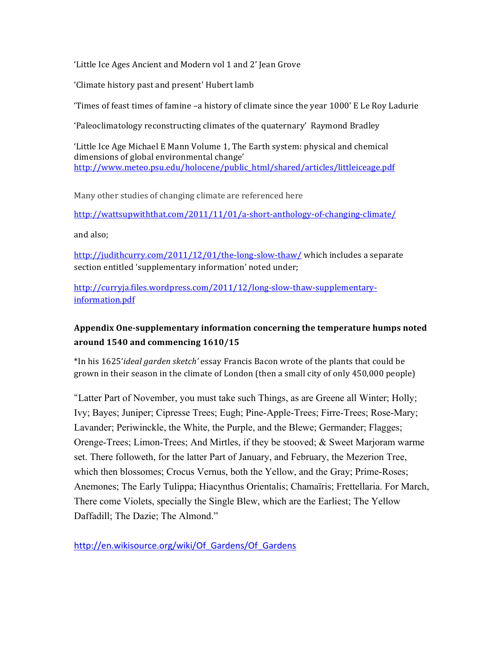'Little Ice Ages Ancient and Modern vol 1 and 2' Jean Grove

'Climate history past and present' Hubert lamb

Times of feast times of famine  $-a$  history of climate since the year 1000' E Le Roy Ladurie

'Paleoclimatology reconstructing climates of the quaternary' Raymond Bradley

'Little Ice Age Michael E Mann Volume 1, The Earth system: physical and chemical dimensions of global environmental change' http://www.meteo.psu.edu/holocene/public\_html/shared/articles/littleiceage.pdf

Many other studies of changing climate are referenced here

http://wattsupwiththat.com/2011/11/01/a-short-anthology-of-changing-climate/

and also;

http://judithcurry.com/2011/12/01/the-long-slow-thaw/ which includes a separate section entitled 'supplementary information' noted under;

http://curryja.files.wordpress.com/2011/12/long-slow-thaw-supplementaryinformation.pdf

# Appendix One-supplementary information concerning the temperature humps noted around 1540 and commencing 1610/15

\*In his 1625'*ideal garden sketch'* essay Francis Bacon wrote of the plants that could be grown in their season in the climate of London (then a small city of only 450,000 people)

"Latter Part of November, you must take such Things, as are Greene all Winter; Holly; Ivy; Bayes; Juniper; Cipresse Trees; Eugh; Pine-Apple-Trees; Firre-Trees; Rose-Mary; Lavander; Periwinckle, the White, the Purple, and the Blewe; Germander; Flagges; Orenge-Trees; Limon-Trees; And Mirtles, if they be stooved; & Sweet Marjoram warme set. There followeth, for the latter Part of January, and February, the Mezerion Tree, which then blossomes; Crocus Vernus, both the Yellow, and the Gray; Prime-Roses; Anemones; The Early Tulippa; Hiacynthus Orientalis; Chamaïris; Frettellaria. For March, There come Violets, specially the Single Blew, which are the Earliest; The Yellow Daffadill; The Dazie; The Almond."

http://en.wikisource.org/wiki/Of Gardens/Of Gardens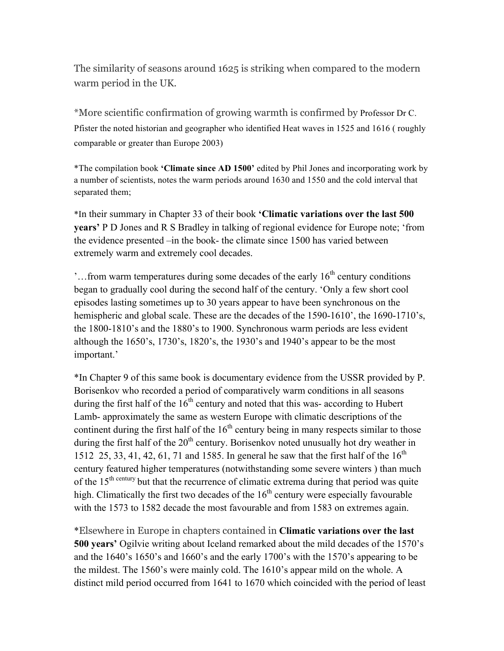The similarity of seasons around 1625 is striking when compared to the modern warm period in the UK.

\*More scientific confirmation of growing warmth is confirmed by Professor Dr C. Pfister the noted historian and geographer who identified Heat waves in 1525 and 1616 ( roughly comparable or greater than Europe 2003)

\*The compilation book **'Climate since AD 1500'** edited by Phil Jones and incorporating work by a number of scientists, notes the warm periods around 1630 and 1550 and the cold interval that separated them;

\*In their summary in Chapter 33 of their book **'Climatic variations over the last 500 years'** P D Jones and R S Bradley in talking of regional evidence for Europe note; 'from the evidence presented –in the book- the climate since 1500 has varied between extremely warm and extremely cool decades.

'...from warm temperatures during some decades of the early  $16<sup>th</sup>$  century conditions began to gradually cool during the second half of the century. 'Only a few short cool episodes lasting sometimes up to 30 years appear to have been synchronous on the hemispheric and global scale. These are the decades of the 1590-1610', the 1690-1710's, the 1800-1810's and the 1880's to 1900. Synchronous warm periods are less evident although the 1650's, 1730's, 1820's, the 1930's and 1940's appear to be the most important.'

\*In Chapter 9 of this same book is documentary evidence from the USSR provided by P. Borisenkov who recorded a period of comparatively warm conditions in all seasons during the first half of the  $16<sup>th</sup>$  century and noted that this was- according to Hubert Lamb- approximately the same as western Europe with climatic descriptions of the continent during the first half of the  $16<sup>th</sup>$  century being in many respects similar to those during the first half of the  $20<sup>th</sup>$  century. Borisenkov noted unusually hot dry weather in 1512 25, 33, 41, 42, 61, 71 and 1585. In general he saw that the first half of the  $16^{th}$ century featured higher temperatures (notwithstanding some severe winters ) than much of the  $15<sup>th century</sup>$  but that the recurrence of climatic extrema during that period was quite high. Climatically the first two decades of the  $16<sup>th</sup>$  century were especially favourable with the 1573 to 1582 decade the most favourable and from 1583 on extremes again.

\*Elsewhere in Europe in chapters contained in **Climatic variations over the last 500 years'** Ogilvie writing about Iceland remarked about the mild decades of the 1570's and the 1640's 1650's and 1660's and the early 1700's with the 1570's appearing to be the mildest. The 1560's were mainly cold. The 1610's appear mild on the whole. A distinct mild period occurred from 1641 to 1670 which coincided with the period of least